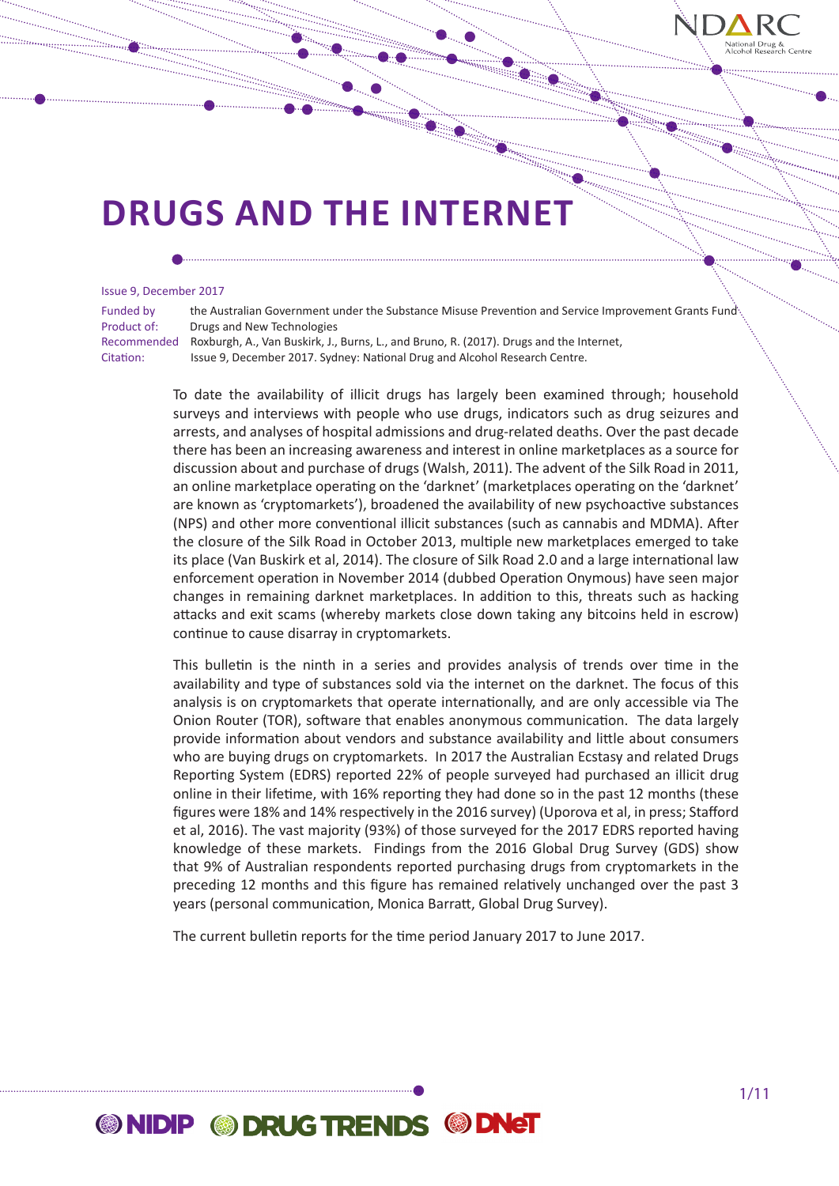

#### Issue 9, December 2017

Funded by the Australian Government under the Substance Misuse Prevention and Service Improvement Grants Fund Product of: Drugs and New Technologies

Recommended Roxburgh, A., Van Buskirk, J., Burns, L., and Bruno, R. (2017). Drugs and the Internet, Citation: Issue 9, December 2017. Sydney: National Drug and Alcohol Research Centre.

> To date the availability of illicit drugs has largely been examined through; household surveys and interviews with people who use drugs, indicators such as drug seizures and arrests, and analyses of hospital admissions and drug-related deaths. Over the past decade there has been an increasing awareness and interest in online marketplaces as a source for discussion about and purchase of drugs (Walsh, 2011). The advent of the Silk Road in 2011, an online marketplace operating on the 'darknet' (marketplaces operating on the 'darknet' are known as 'cryptomarkets'), broadened the availability of new psychoactive substances (NPS) and other more conventional illicit substances (such as cannabis and MDMA). After the closure of the Silk Road in October 2013, multiple new marketplaces emerged to take its place (Van Buskirk et al, 2014). The closure of Silk Road 2.0 and a large international law enforcement operation in November 2014 (dubbed Operation Onymous) have seen major changes in remaining darknet marketplaces. In addition to this, threats such as hacking attacks and exit scams (whereby markets close down taking any bitcoins held in escrow) continue to cause disarray in cryptomarkets.

> This bulletin is the ninth in a series and provides analysis of trends over time in the availability and type of substances sold via the internet on the darknet. The focus of this analysis is on cryptomarkets that operate internationally, and are only accessible via The Onion Router (TOR), software that enables anonymous communication. The data largely provide information about vendors and substance availability and little about consumers who are buying drugs on cryptomarkets. In 2017 the Australian Ecstasy and related Drugs Reporting System (EDRS) reported 22% of people surveyed had purchased an illicit drug online in their lifetime, with 16% reporting they had done so in the past 12 months (these figures were 18% and 14% respectively in the 2016 survey) (Uporova et al, in press; Stafford et al, 2016). The vast majority (93%) of those surveyed for the 2017 EDRS reported having knowledge of these markets. Findings from the 2016 Global Drug Survey (GDS) show that 9% of Australian respondents reported purchasing drugs from cryptomarkets in the preceding 12 months and this figure has remained relatively unchanged over the past 3 years (personal communication, Monica Barratt, Global Drug Survey).

The current bulletin reports for the time period January 2017 to June 2017.

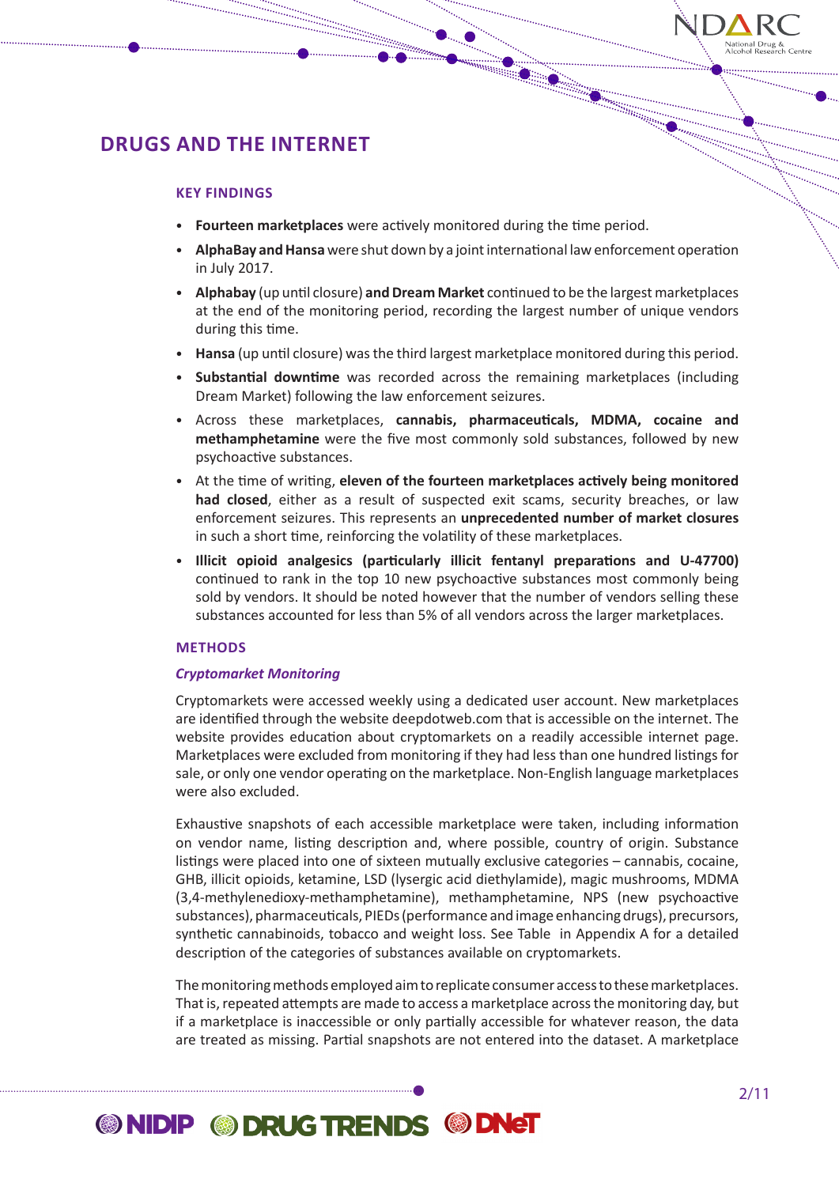

### **KEY FINDINGS**

• **Fourteen marketplaces** were actively monitored during the time period.

- **AlphaBay and Hansa** were shut down by a joint international law enforcement operation in July 2017.
- **Alphabay** (up until closure) **and Dream Market** continued to be the largest marketplaces at the end of the monitoring period, recording the largest number of unique vendors during this time.
- **Hansa** (up until closure) was the third largest marketplace monitored during this period.
- **Substantial downtime** was recorded across the remaining marketplaces (including Dream Market) following the law enforcement seizures.
- Across these marketplaces, **cannabis, pharmaceuticals, MDMA, cocaine and methamphetamine** were the five most commonly sold substances, followed by new psychoactive substances.
- At the time of writing, **eleven of the fourteen marketplaces actively being monitored had closed**, either as a result of suspected exit scams, security breaches, or law enforcement seizures. This represents an **unprecedented number of market closures** in such a short time, reinforcing the volatility of these marketplaces.
- **Illicit opioid analgesics (particularly illicit fentanyl preparations and U-47700)**  continued to rank in the top 10 new psychoactive substances most commonly being sold by vendors. It should be noted however that the number of vendors selling these substances accounted for less than 5% of all vendors across the larger marketplaces.

### **METHODS**

### *Cryptomarket Monitoring*

Cryptomarkets were accessed weekly using a dedicated user account. New marketplaces are identified through the website deepdotweb.com that is accessible on the internet. The website provides education about cryptomarkets on a readily accessible internet page. Marketplaces were excluded from monitoring if they had less than one hundred listings for sale, or only one vendor operating on the marketplace. Non-English language marketplaces were also excluded.

Exhaustive snapshots of each accessible marketplace were taken, including information on vendor name, listing description and, where possible, country of origin. Substance listings were placed into one of sixteen mutually exclusive categories – cannabis, cocaine, GHB, illicit opioids, ketamine, LSD (lysergic acid diethylamide), magic mushrooms, MDMA (3,4-methylenedioxy-methamphetamine), methamphetamine, NPS (new psychoactive substances), pharmaceuticals, PIEDs (performance and image enhancing drugs), precursors, synthetic cannabinoids, tobacco and weight loss. See Table in Appendix A for a detailed description of the categories of substances available on cryptomarkets.

The monitoring methods employed aim to replicate consumer access to these marketplaces. That is, repeated attempts are made to access a marketplace across the monitoring day, but if a marketplace is inaccessible or only partially accessible for whatever reason, the data are treated as missing. Partial snapshots are not entered into the dataset. A marketplace

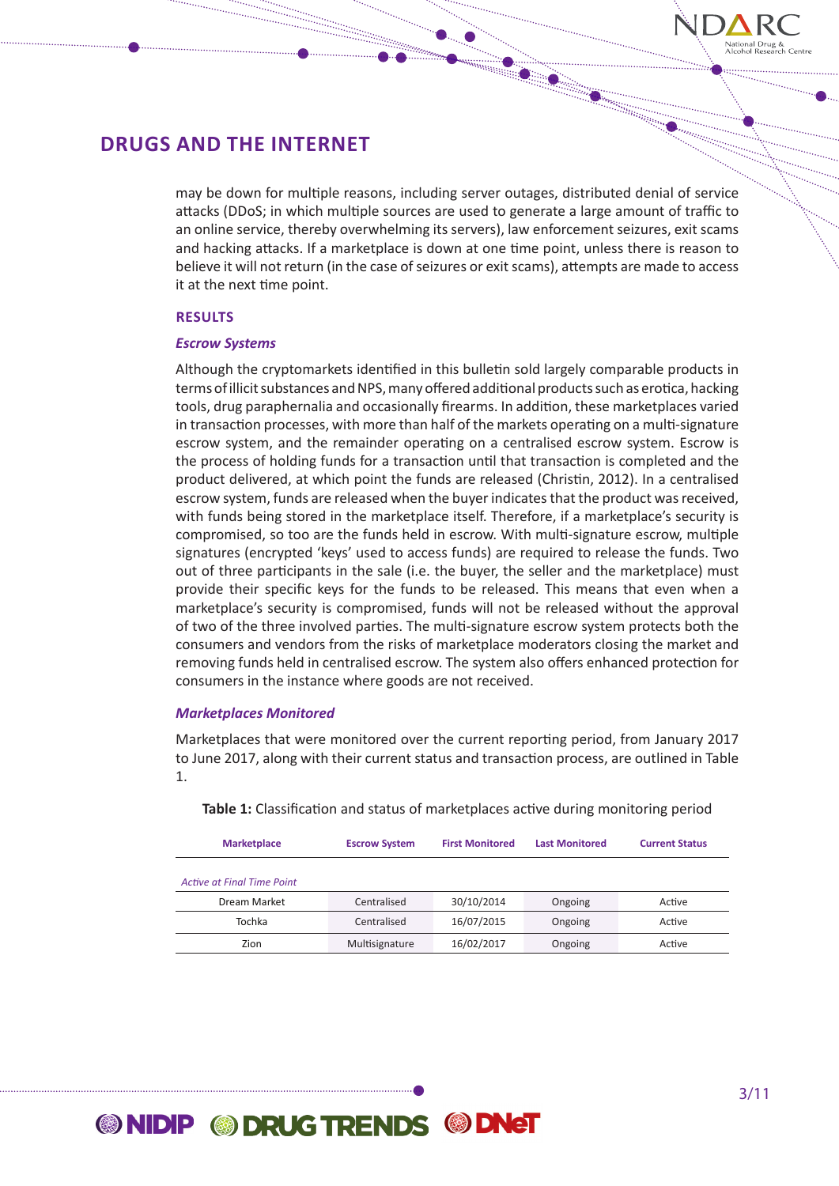

may be down for multiple reasons, including server outages, distributed denial of service attacks (DDoS; in which multiple sources are used to generate a large amount of traffic to an online service, thereby overwhelming its servers), law enforcement seizures, exit scams and hacking attacks. If a marketplace is down at one time point, unless there is reason to believe it will not return (in the case of seizures or exit scams), attempts are made to access it at the next time point.

### **RESULTS**

### *Escrow Systems*

Although the cryptomarkets identified in this bulletin sold largely comparable products in terms of illicit substances and NPS, many offered additional products such as erotica, hacking tools, drug paraphernalia and occasionally firearms. In addition, these marketplaces varied in transaction processes, with more than half of the markets operating on a multi-signature escrow system, and the remainder operating on a centralised escrow system. Escrow is the process of holding funds for a transaction until that transaction is completed and the product delivered, at which point the funds are released (Christin, 2012). In a centralised escrow system, funds are released when the buyer indicates that the product was received, with funds being stored in the marketplace itself. Therefore, if a marketplace's security is compromised, so too are the funds held in escrow. With multi-signature escrow, multiple signatures (encrypted 'keys' used to access funds) are required to release the funds. Two out of three participants in the sale (i.e. the buyer, the seller and the marketplace) must provide their specific keys for the funds to be released. This means that even when a marketplace's security is compromised, funds will not be released without the approval of two of the three involved parties. The multi-signature escrow system protects both the consumers and vendors from the risks of marketplace moderators closing the market and removing funds held in centralised escrow. The system also offers enhanced protection for consumers in the instance where goods are not received.

### *Marketplaces Monitored*

Marketplaces that were monitored over the current reporting period, from January 2017 to June 2017, along with their current status and transaction process, are outlined in Table 1.

| <b>Marketplace</b>         | <b>Escrow System</b> | <b>First Monitored</b> | <b>Last Monitored</b> | <b>Current Status</b> |  |
|----------------------------|----------------------|------------------------|-----------------------|-----------------------|--|
|                            |                      |                        |                       |                       |  |
| Active at Final Time Point |                      |                        |                       |                       |  |
| Dream Market               | Centralised          | 30/10/2014             | Ongoing               | Active                |  |
| Tochka                     | Centralised          | 16/07/2015             | Ongoing               | Active                |  |
| Zion                       | Multisignature       | 16/02/2017             | Ongoing               | Active                |  |

**Table 1:** Classification and status of marketplaces active during monitoring period

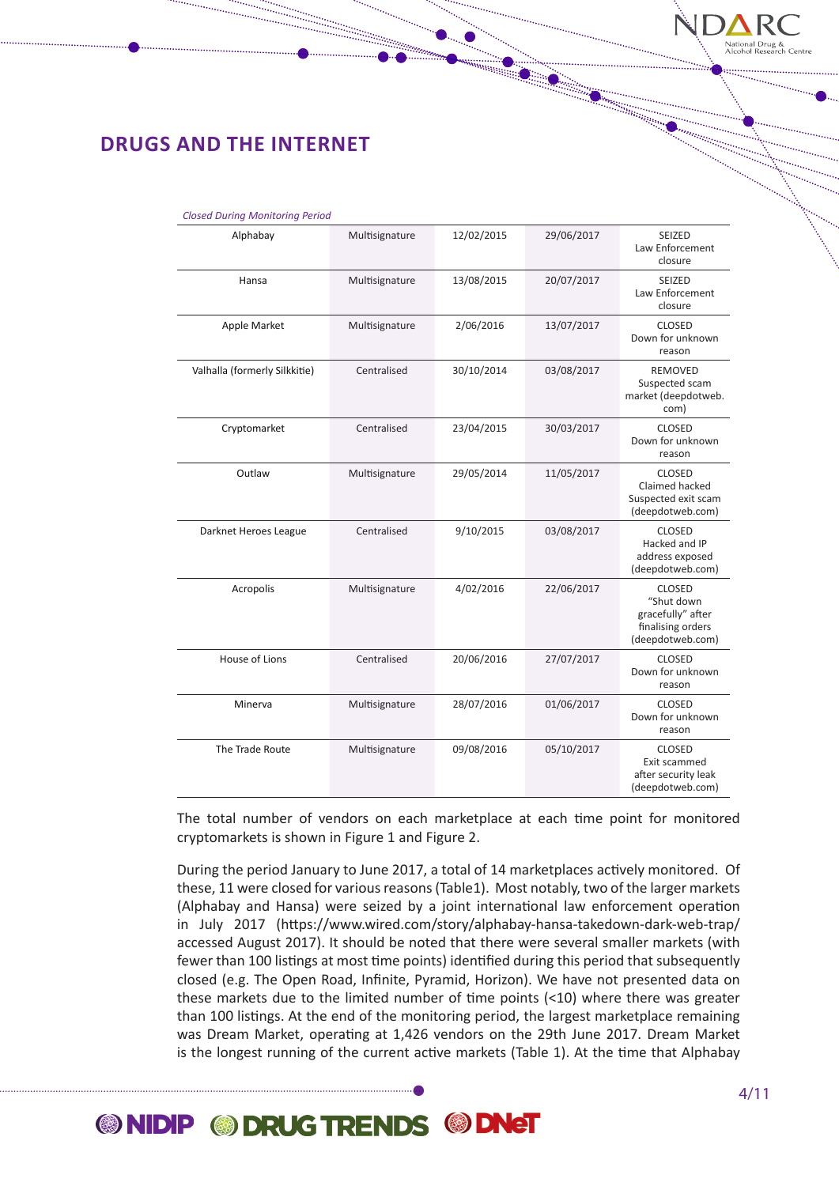

| <b>Closed During Monitoring Period</b> |                |            |            |                                                                                           |
|----------------------------------------|----------------|------------|------------|-------------------------------------------------------------------------------------------|
| Alphabay                               | Multisignature | 12/02/2015 | 29/06/2017 | SEIZED<br>Law Enforcement<br>closure                                                      |
| Hansa                                  | Multisignature | 13/08/2015 | 20/07/2017 | <b>SEIZED</b><br>Law Enforcement<br>closure                                               |
| Apple Market                           | Multisignature | 2/06/2016  | 13/07/2017 | <b>CLOSED</b><br>Down for unknown<br>reason                                               |
| Valhalla (formerly Silkkitie)          | Centralised    | 30/10/2014 | 03/08/2017 | <b>REMOVED</b><br>Suspected scam<br>market (deepdotweb.<br>com)                           |
| Cryptomarket                           | Centralised    | 23/04/2015 | 30/03/2017 | <b>CLOSED</b><br>Down for unknown<br>reason                                               |
| Outlaw                                 | Multisignature | 29/05/2014 | 11/05/2017 | <b>CLOSED</b><br>Claimed hacked<br>Suspected exit scam<br>(deepdotweb.com)                |
| Darknet Heroes League                  | Centralised    | 9/10/2015  | 03/08/2017 | <b>CLOSED</b><br>Hacked and IP<br>address exposed<br>(deepdotweb.com)                     |
| Acropolis                              | Multisignature | 4/02/2016  | 22/06/2017 | <b>CLOSED</b><br>"Shut down<br>gracefully" after<br>finalising orders<br>(deepdotweb.com) |
| House of Lions                         | Centralised    | 20/06/2016 | 27/07/2017 | <b>CLOSED</b><br>Down for unknown<br>reason                                               |
| Minerva                                | Multisignature | 28/07/2016 | 01/06/2017 | <b>CLOSED</b><br>Down for unknown<br>reason                                               |
| The Trade Route                        | Multisignature | 09/08/2016 | 05/10/2017 | <b>CLOSED</b><br>Exit scammed<br>after security leak<br>(deepdotweb.com)                  |

The total number of vendors on each marketplace at each time point for monitored cryptomarkets is shown in Figure 1 and Figure 2.

During the period January to June 2017, a total of 14 marketplaces actively monitored. Of these, 11 were closed for various reasons (Table1). Most notably, two of the larger markets (Alphabay and Hansa) were seized by a joint international law enforcement operation in July 2017 (https://www.wired.com/story/alphabay-hansa-takedown-dark-web-trap/ accessed August 2017). It should be noted that there were several smaller markets (with fewer than 100 listings at most time points) identified during this period that subsequently closed (e.g. The Open Road, Infinite, Pyramid, Horizon). We have not presented data on these markets due to the limited number of time points (<10) where there was greater than 100 listings. At the end of the monitoring period, the largest marketplace remaining was Dream Market, operating at 1,426 vendors on the 29th June 2017. Dream Market is the longest running of the current active markets (Table 1). At the time that Alphabay

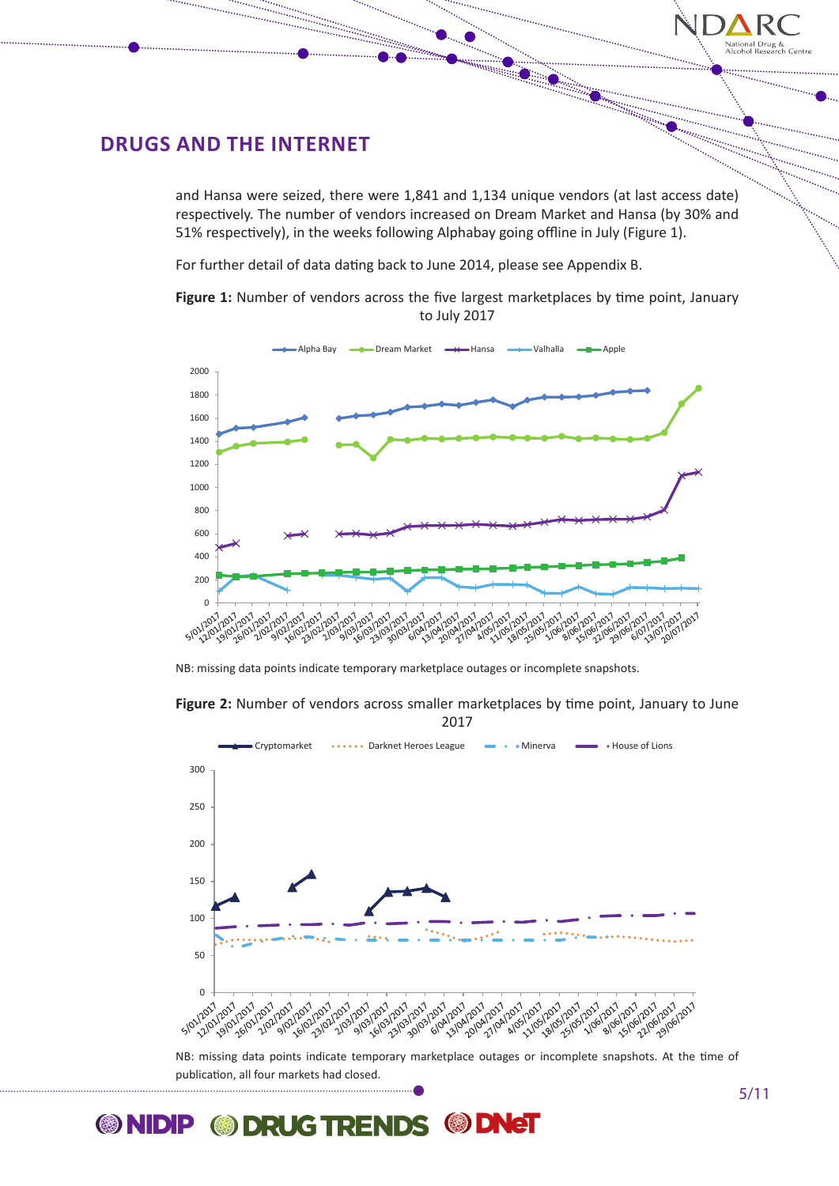

and Hansa were seized, there were 1,841 and 1,134 unique vendors (at last access date) respectively. The number of vendors increased on Dream Market and Hansa (by 30% and 51% respectively), in the weeks following Alphabay going offline in July (Figure 1).

For further detail of data dating back to June 2014, please see Appendix B.

**Millian** 

Figure 1: Number of vendors across the five largest marketplaces by time point, January to July 2017



NB: missing data points indicate temporary marketplace outages or incomplete snapshots.





publication, all four markets had closed.

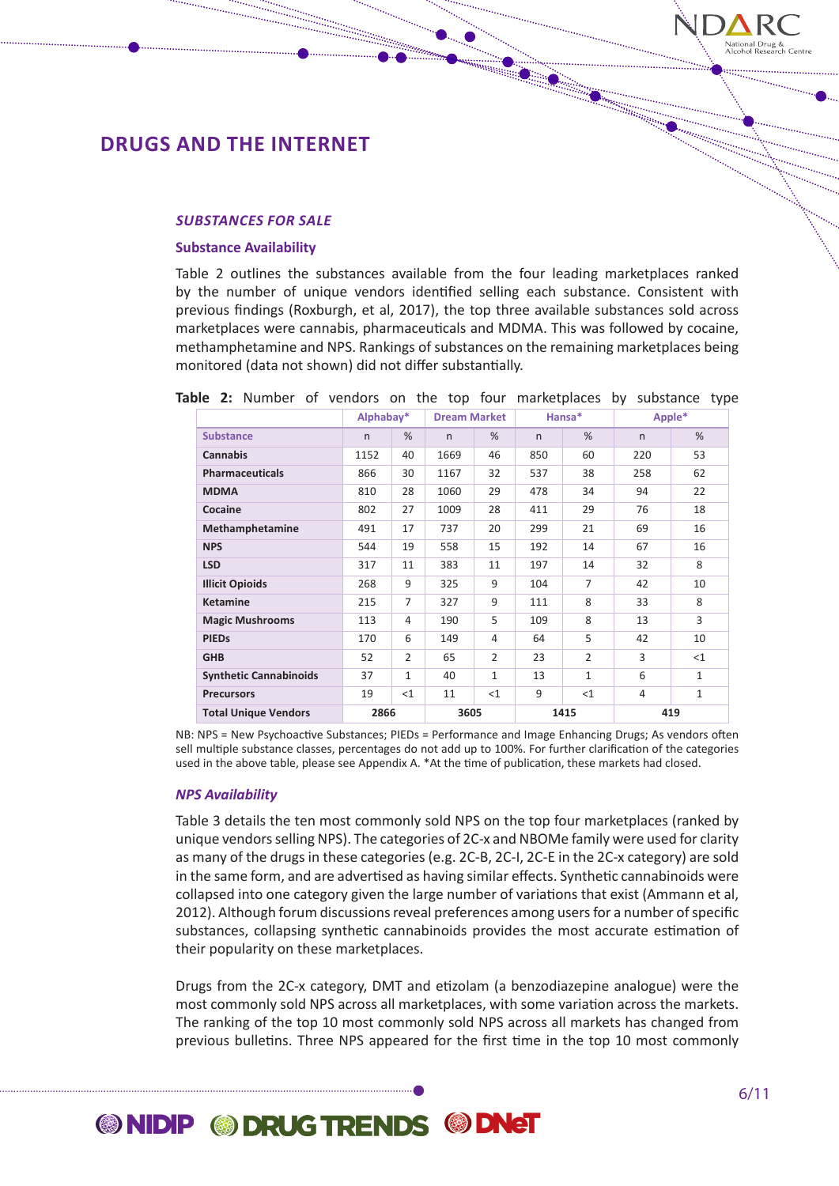

#### *SUBSTANCES FOR SALE*

#### **Substance Availability**

Table 2 outlines the substances available from the four leading marketplaces ranked by the number of unique vendors identified selling each substance. Consistent with previous findings (Roxburgh, et al, 2017), the top three available substances sold across marketplaces were cannabis, pharmaceuticals and MDMA. This was followed by cocaine, methamphetamine and NPS. Rankings of substances on the remaining marketplaces being monitored (data not shown) did not differ substantially.

|                               | Alphabay*    |                | <b>Dream Market</b> |                |     | Hansa*         | Apple*       |              |
|-------------------------------|--------------|----------------|---------------------|----------------|-----|----------------|--------------|--------------|
| <b>Substance</b>              | $\mathsf{n}$ | %              | n                   | %              | n   | $\%$           | $\mathsf{n}$ | %            |
| <b>Cannabis</b>               | 1152         | 40             | 1669                | 46             | 850 | 60             | 220          | 53           |
| <b>Pharmaceuticals</b>        | 866          | 30             | 1167                | 32             | 537 | 38             | 258          | 62           |
| <b>MDMA</b>                   | 810          | 28             | 1060                | 29             | 478 | 34             | 94           | 22           |
| Cocaine                       | 802          | 27             | 1009                | 28             | 411 | 29             | 76           | 18           |
| Methamphetamine               | 491          | 17             | 737                 | 20             | 299 | 21             | 69           | 16           |
| <b>NPS</b>                    | 544          | 19             | 558                 | 15             | 192 | 14             | 67           | 16           |
| <b>LSD</b>                    | 317          | 11             | 383                 | 11             | 197 | 14             | 32           | 8            |
| <b>Illicit Opioids</b>        | 268          | 9              | 325                 | 9              | 104 | $\overline{7}$ | 42           | 10           |
| <b>Ketamine</b>               | 215          | $\overline{7}$ | 327                 | 9              | 111 | 8              | 33           | 8            |
| <b>Magic Mushrooms</b>        | 113          | 4              | 190                 | 5              | 109 | 8              | 13           | 3            |
| <b>PIEDs</b>                  | 170          | 6              | 149                 | $\overline{4}$ | 64  | 5              | 42           | 10           |
| <b>GHB</b>                    | 52           | 2              | 65                  | $\overline{2}$ | 23  | $\overline{2}$ | 3            | $<$ 1        |
| <b>Synthetic Cannabinoids</b> | 37           | $\mathbf{1}$   | 40                  | $\mathbf{1}$   | 13  | $\mathbf{1}$   | 6            | $\mathbf{1}$ |
| <b>Precursors</b>             | 19           | $<$ 1          | 11                  | <1             | 9   | $<$ 1          | 4            | $\mathbf{1}$ |
| <b>Total Unique Vendors</b>   | 2866         |                | 3605                |                |     | 1415           | 419          |              |

**Table 2:** Number of vendors on the top four marketplaces by substance type

NB: NPS = New Psychoactive Substances; PIEDs = Performance and Image Enhancing Drugs; As vendors often sell multiple substance classes, percentages do not add up to 100%. For further clarification of the categories used in the above table, please see Appendix A. \*At the time of publication, these markets had closed.

### *NPS Availability*

Table 3 details the ten most commonly sold NPS on the top four marketplaces (ranked by unique vendors selling NPS). The categories of 2C-x and NBOMe family were used for clarity as many of the drugs in these categories (e.g. 2C-B, 2C-I, 2C-E in the 2C-x category) are sold in the same form, and are advertised as having similar effects. Synthetic cannabinoids were collapsed into one category given the large number of variations that exist (Ammann et al, 2012). Although forum discussions reveal preferences among users for a number of specific substances, collapsing synthetic cannabinoids provides the most accurate estimation of their popularity on these marketplaces.

Drugs from the 2C-x category, DMT and etizolam (a benzodiazepine analogue) were the most commonly sold NPS across all marketplaces, with some variation across the markets. The ranking of the top 10 most commonly sold NPS across all markets has changed from previous bulletins. Three NPS appeared for the first time in the top 10 most commonly

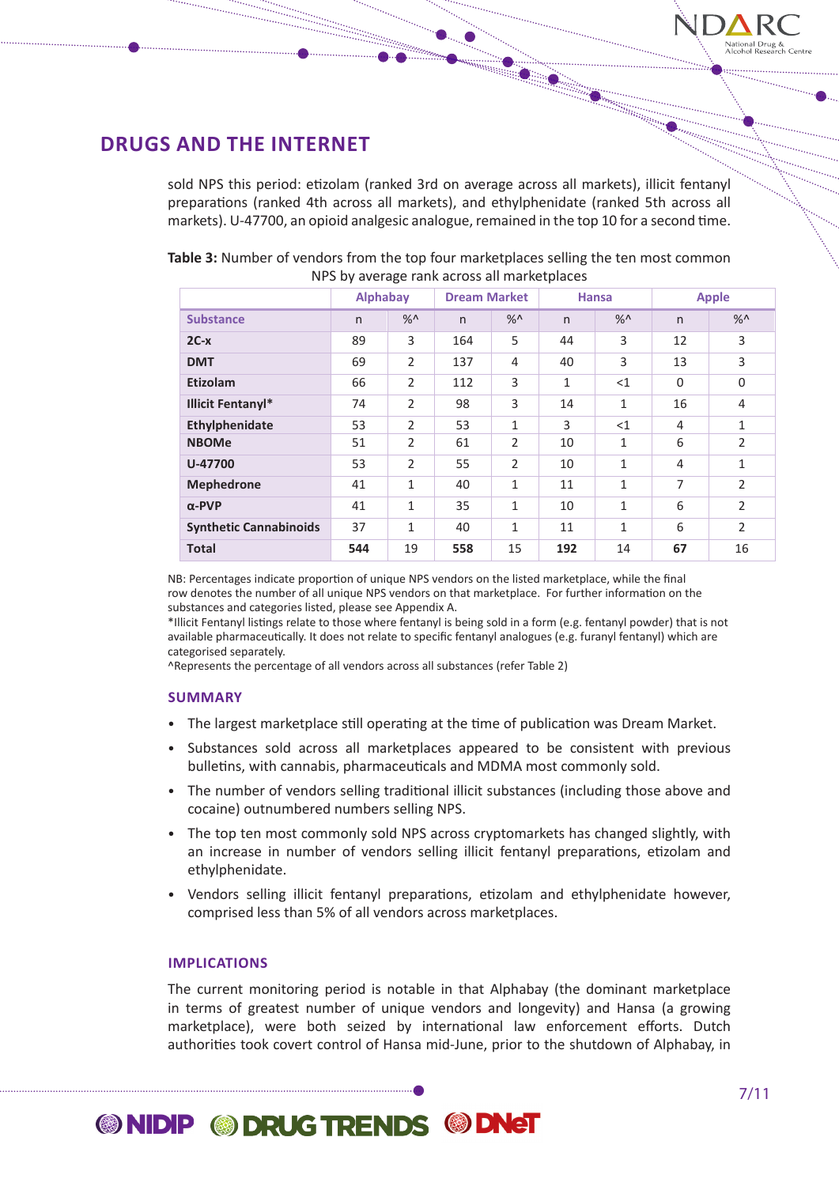

sold NPS this period: etizolam (ranked 3rd on average across all markets), illicit fentanyl preparations (ranked 4th across all markets), and ethylphenidate (ranked 5th across all markets). U-47700, an opioid analgesic analogue, remained in the top 10 for a second time.

| Table 3: Number of vendors from the top four marketplaces selling the ten most common |
|---------------------------------------------------------------------------------------|
| NPS by average rank across all marketplaces                                           |

|                               | <b>Alphabay</b> |                | <b>Dream Market</b> |                |              | <b>Hansa</b> |                | <b>Apple</b>   |
|-------------------------------|-----------------|----------------|---------------------|----------------|--------------|--------------|----------------|----------------|
| <b>Substance</b>              | $\mathsf{n}$    | $\%$           | n                   | $\%$           | n            | $\%$         | $\mathsf{n}$   | $\frac{9}{6}$  |
| $2C-x$                        | 89              | 3              | 164                 | 5              | 44           | 3            | 12             | 3              |
| <b>DMT</b>                    | 69              | $\overline{2}$ | 137                 | 4              | 40           | 3            | 13             | 3              |
| Etizolam                      | 66              | $\overline{2}$ | 112                 | 3              | $\mathbf{1}$ | <1           | $\Omega$       | $\Omega$       |
| <b>Illicit Fentanyl*</b>      | 74              | 2              | 98                  | 3              | 14           | 1            | 16             | 4              |
| Ethylphenidate                | 53              | $\mathcal{P}$  | 53                  | $\mathbf{1}$   | 3            | $<$ 1        | 4              | 1              |
| <b>NBOMe</b>                  | 51              | $\overline{2}$ | 61                  | $\overline{2}$ | 10           | 1            | 6              | $\overline{2}$ |
| U-47700                       | 53              | $\mathcal{P}$  | 55                  | $\overline{2}$ | 10           | 1            | 4              | 1              |
| Mephedrone                    | 41              | 1              | 40                  | $\mathbf{1}$   | 11           | 1            | $\overline{7}$ | $\mathcal{P}$  |
| $\alpha$ -PVP                 | 41              | 1              | 35                  | $\mathbf{1}$   | 10           | 1            | 6              | $\mathcal{P}$  |
| <b>Synthetic Cannabinoids</b> | 37              | $\mathbf{1}$   | 40                  | $\mathbf{1}$   | 11           | $\mathbf{1}$ | 6              | $\overline{2}$ |
| <b>Total</b>                  | 544             | 19             | 558                 | 15             | 192          | 14           | 67             | 16             |

NB: Percentages indicate proportion of unique NPS vendors on the listed marketplace, while the final row denotes the number of all unique NPS vendors on that marketplace. For further information on the substances and categories listed, please see Appendix A.

\*Illicit Fentanyl listings relate to those where fentanyl is being sold in a form (e.g. fentanyl powder) that is not available pharmaceutically. It does not relate to specific fentanyl analogues (e.g. furanyl fentanyl) which are categorised separately.

^Represents the percentage of all vendors across all substances (refer Table 2)

#### **SUMMARY**

- The largest marketplace still operating at the time of publication was Dream Market.
- Substances sold across all marketplaces appeared to be consistent with previous bulletins, with cannabis, pharmaceuticals and MDMA most commonly sold.
- The number of vendors selling traditional illicit substances (including those above and cocaine) outnumbered numbers selling NPS.
- The top ten most commonly sold NPS across cryptomarkets has changed slightly, with an increase in number of vendors selling illicit fentanyl preparations, etizolam and ethylphenidate.
- Vendors selling illicit fentanyl preparations, etizolam and ethylphenidate however, comprised less than 5% of all vendors across marketplaces.

### **IMPLICATIONS**

The current monitoring period is notable in that Alphabay (the dominant marketplace in terms of greatest number of unique vendors and longevity) and Hansa (a growing marketplace), were both seized by international law enforcement efforts. Dutch authorities took covert control of Hansa mid-June, prior to the shutdown of Alphabay, in

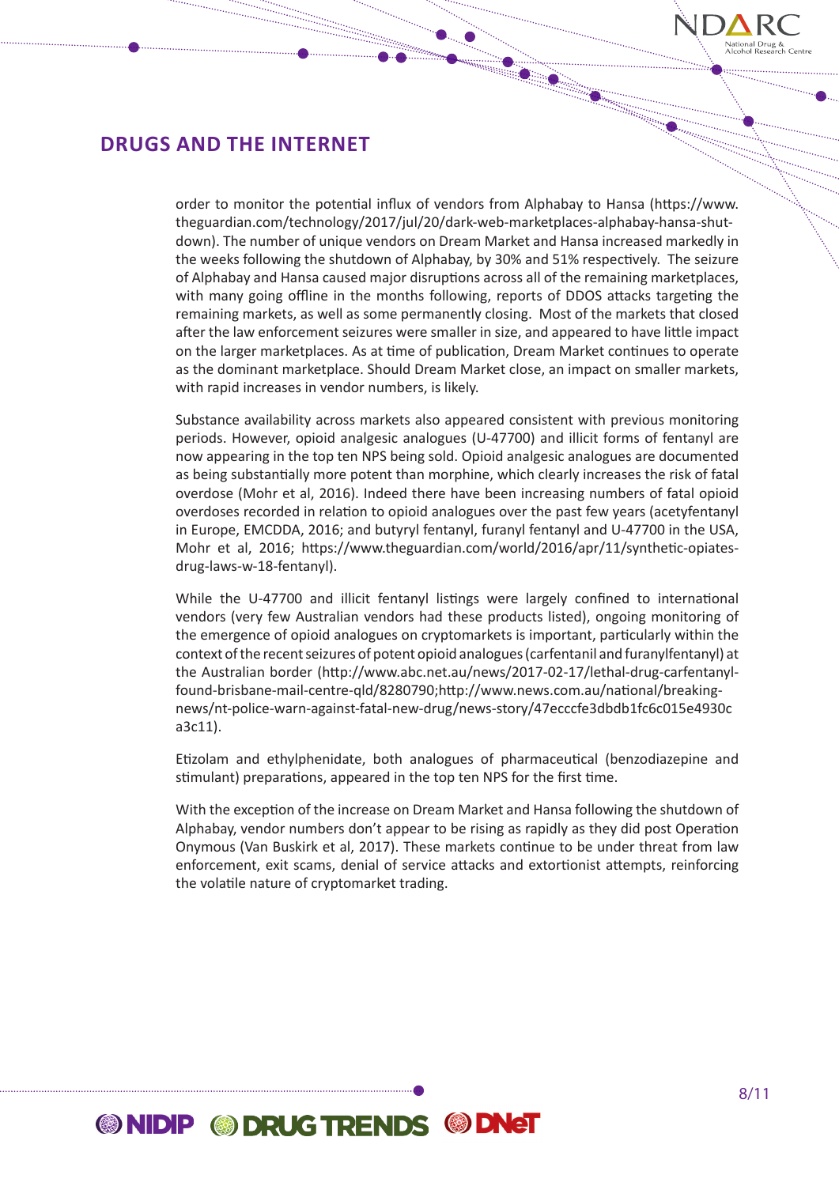

order to monitor the potential influx of vendors from Alphabay to Hansa (https://www. theguardian.com/technology/2017/jul/20/dark-web-marketplaces-alphabay-hansa-shutdown). The number of unique vendors on Dream Market and Hansa increased markedly in the weeks following the shutdown of Alphabay, by 30% and 51% respectively. The seizure of Alphabay and Hansa caused major disruptions across all of the remaining marketplaces, with many going offline in the months following, reports of DDOS attacks targeting the remaining markets, as well as some permanently closing. Most of the markets that closed after the law enforcement seizures were smaller in size, and appeared to have little impact on the larger marketplaces. As at time of publication, Dream Market continues to operate as the dominant marketplace. Should Dream Market close, an impact on smaller markets, with rapid increases in vendor numbers, is likely.

Substance availability across markets also appeared consistent with previous monitoring periods. However, opioid analgesic analogues (U-47700) and illicit forms of fentanyl are now appearing in the top ten NPS being sold. Opioid analgesic analogues are documented as being substantially more potent than morphine, which clearly increases the risk of fatal overdose (Mohr et al, 2016). Indeed there have been increasing numbers of fatal opioid overdoses recorded in relation to opioid analogues over the past few years (acetyfentanyl in Europe, EMCDDA, 2016; and butyryl fentanyl, furanyl fentanyl and U-47700 in the USA, Mohr et al, 2016; https://www.theguardian.com/world/2016/apr/11/synthetic-opiatesdrug-laws-w-18-fentanyl).

While the U-47700 and illicit fentanyl listings were largely confined to international vendors (very few Australian vendors had these products listed), ongoing monitoring of the emergence of opioid analogues on cryptomarkets is important, particularly within the context of the recent seizures of potent opioid analogues (carfentanil and furanylfentanyl) at the Australian border (http://www.abc.net.au/news/2017-02-17/lethal-drug-carfentanylfound-brisbane-mail-centre-qld/8280790;http://www.news.com.au/national/breakingnews/nt-police-warn-against-fatal-new-drug/news-story/47ecccfe3dbdb1fc6c015e4930c a3c11).

Etizolam and ethylphenidate, both analogues of pharmaceutical (benzodiazepine and stimulant) preparations, appeared in the top ten NPS for the first time.

With the exception of the increase on Dream Market and Hansa following the shutdown of Alphabay, vendor numbers don't appear to be rising as rapidly as they did post Operation Onymous (Van Buskirk et al, 2017). These markets continue to be under threat from law enforcement, exit scams, denial of service attacks and extortionist attempts, reinforcing the volatile nature of cryptomarket trading.

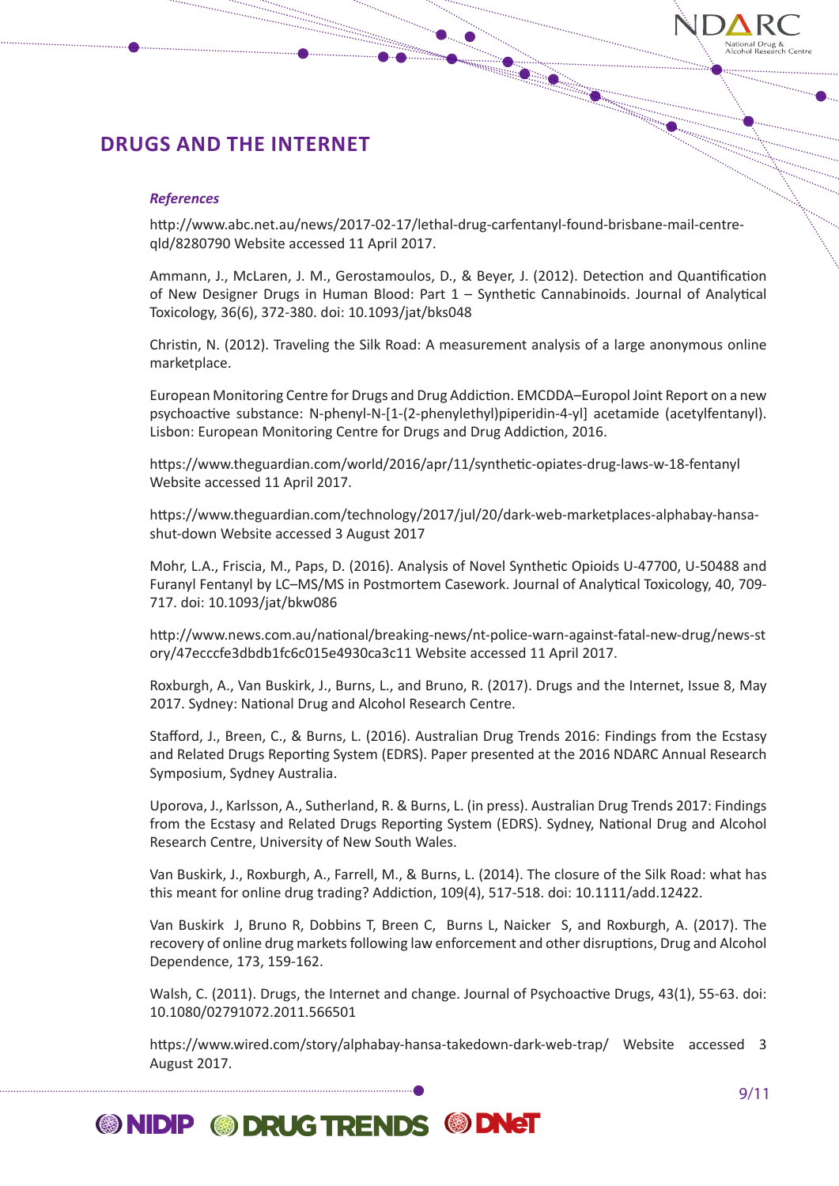

### *References*

http://www.abc.net.au/news/2017-02-17/lethal-drug-carfentanyl-found-brisbane-mail-centreqld/8280790 Website accessed 11 April 2017.

Ammann, J., McLaren, J. M., Gerostamoulos, D., & Beyer, J. (2012). Detection and Quantification of New Designer Drugs in Human Blood: Part 1 – Synthetic Cannabinoids. Journal of Analytical Toxicology, 36(6), 372-380. doi: 10.1093/jat/bks048

Christin, N. (2012). Traveling the Silk Road: A measurement analysis of a large anonymous online marketplace.

European Monitoring Centre for Drugs and Drug Addiction. EMCDDA–Europol Joint Report on a new psychoactive substance: N-phenyl-N-[1-(2-phenylethyl)piperidin-4-yl] acetamide (acetylfentanyl). Lisbon: European Monitoring Centre for Drugs and Drug Addiction, 2016.

https://www.theguardian.com/world/2016/apr/11/synthetic-opiates-drug-laws-w-18-fentanyl Website accessed 11 April 2017.

https://www.theguardian.com/technology/2017/jul/20/dark-web-marketplaces-alphabay-hansashut-down Website accessed 3 August 2017

Mohr, L.A., Friscia, M., Paps, D. (2016). Analysis of Novel Synthetic Opioids U-47700, U-50488 and Furanyl Fentanyl by LC–MS/MS in Postmortem Casework. Journal of Analytical Toxicology, 40, 709- 717. doi: 10.1093/jat/bkw086

http://www.news.com.au/national/breaking-news/nt-police-warn-against-fatal-new-drug/news-st ory/47ecccfe3dbdb1fc6c015e4930ca3c11 Website accessed 11 April 2017.

Roxburgh, A., Van Buskirk, J., Burns, L., and Bruno, R. (2017). Drugs and the Internet, Issue 8, May 2017. Sydney: National Drug and Alcohol Research Centre.

Stafford, J., Breen, C., & Burns, L. (2016). Australian Drug Trends 2016: Findings from the Ecstasy and Related Drugs Reporting System (EDRS). Paper presented at the 2016 NDARC Annual Research Symposium, Sydney Australia.

Uporova, J., Karlsson, A., Sutherland, R. & Burns, L. (in press). Australian Drug Trends 2017: Findings from the Ecstasy and Related Drugs Reporting System (EDRS). Sydney, National Drug and Alcohol Research Centre, University of New South Wales.

Van Buskirk, J., Roxburgh, A., Farrell, M., & Burns, L. (2014). The closure of the Silk Road: what has this meant for online drug trading? Addiction, 109(4), 517-518. doi: 10.1111/add.12422.

Van Buskirk J, Bruno R, Dobbins T, Breen C, Burns L, Naicker S, and Roxburgh, A. (2017). The recovery of online drug markets following law enforcement and other disruptions, Drug and Alcohol Dependence, 173, 159-162.

Walsh, C. (2011). Drugs, the Internet and change. Journal of Psychoactive Drugs, 43(1), 55-63. doi: 10.1080/02791072.2011.566501

https://www.wired.com/story/alphabay-hansa-takedown-dark-web-trap/ Website accessed 3 August 2017.

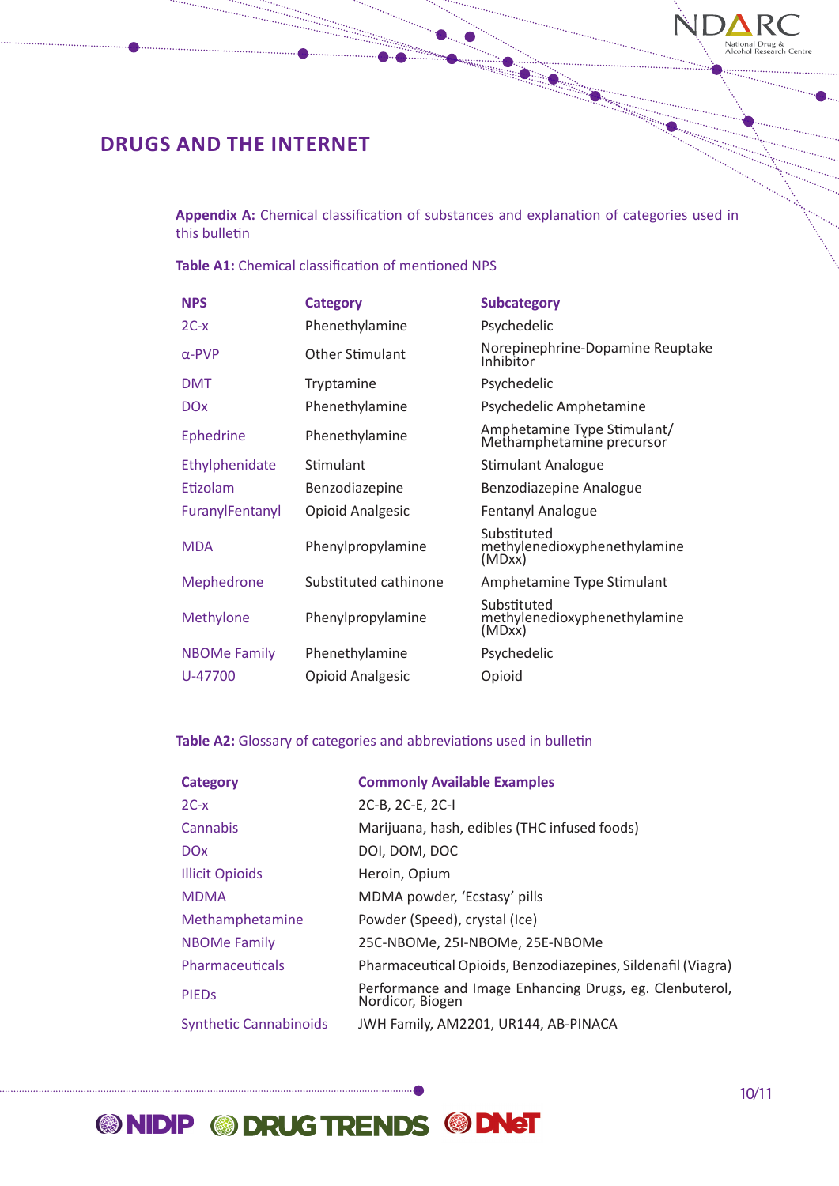

**Appendix A:** Chemical classification of substances and explanation of categories used in this bulletin

**Table A1:** Chemical classification of mentioned NPS

| <b>NPS</b>          | <b>Category</b>         | <b>Subcategory</b>                                       |
|---------------------|-------------------------|----------------------------------------------------------|
| $2C-x$              | Phenethylamine          | Psychedelic                                              |
| $\alpha$ -PVP       | <b>Other Stimulant</b>  | Norepinephrine-Dopamine Reuptake<br>Inhibitor            |
| <b>DMT</b>          | Tryptamine              | Psychedelic                                              |
| <b>DOx</b>          | Phenethylamine          | Psychedelic Amphetamine                                  |
| <b>Ephedrine</b>    | Phenethylamine          | Amphetamine Type Stimulant/<br>Methamphetamine precursor |
| Ethylphenidate      | Stimulant               | Stimulant Analogue                                       |
| Etizolam            | Benzodiazepine          | Benzodiazepine Analogue                                  |
| FuranylFentanyl     | <b>Opioid Analgesic</b> | Fentanyl Analogue                                        |
| <b>MDA</b>          | Phenylpropylamine       | Substituted<br>methylenedioxyphenethylamine<br>(MDxx)    |
| Mephedrone          | Substituted cathinone   | Amphetamine Type Stimulant                               |
| Methylone           | Phenylpropylamine       | Substituted<br>methylenedioxyphenethylamine<br>(MDxx)    |
| <b>NBOMe Family</b> | Phenethylamine          | Psychedelic                                              |
| U-47700             | <b>Opioid Analgesic</b> | Opioid                                                   |

## **Table A2:** Glossary of categories and abbreviations used in bulletin

| <b>Category</b>               | <b>Commonly Available Examples</b>                                          |
|-------------------------------|-----------------------------------------------------------------------------|
| $2C-x$                        | 2C-B, 2C-E, 2C-I                                                            |
| Cannabis                      | Marijuana, hash, edibles (THC infused foods)                                |
| <b>DOx</b>                    | DOI, DOM, DOC                                                               |
| <b>Illicit Opioids</b>        | Heroin, Opium                                                               |
| <b>MDMA</b>                   | MDMA powder, 'Ecstasy' pills                                                |
| Methamphetamine               | Powder (Speed), crystal (Ice)                                               |
| <b>NBOMe Family</b>           | 25C-NBOMe, 25I-NBOMe, 25E-NBOMe                                             |
| Pharmaceuticals               | Pharmaceutical Opioids, Benzodiazepines, Sildenafil (Viagra)                |
| <b>PIEDS</b>                  | Performance and Image Enhancing Drugs, eg. Clenbuterol,<br>Nordicor, Biogen |
| <b>Synthetic Cannabinoids</b> | JWH Family, AM2201, UR144, AB-PINACA                                        |